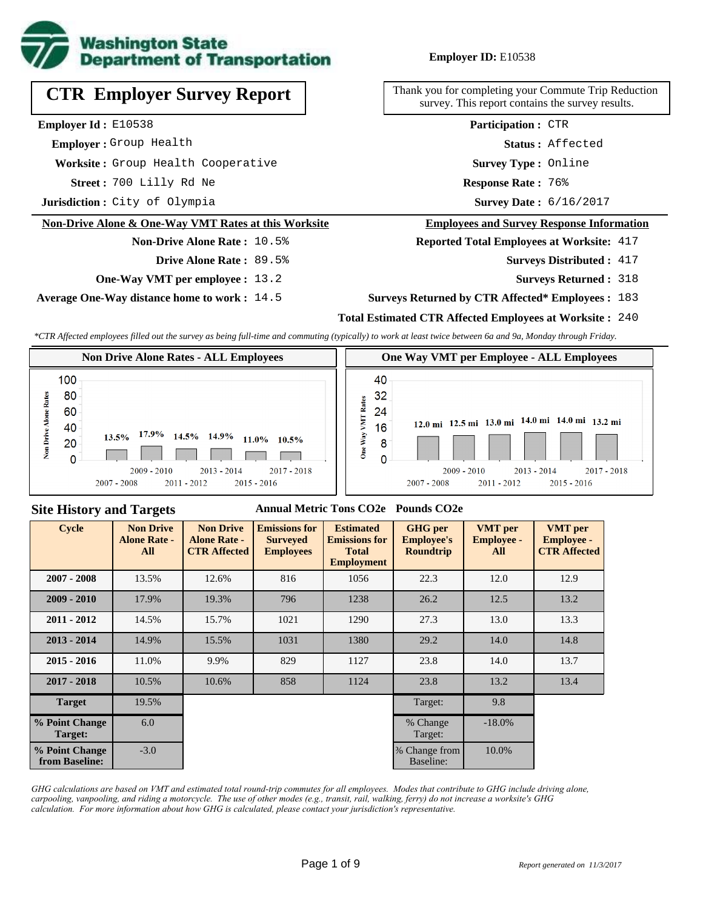

# **CTR Employer Survey Report**

**Employer Id :** E10538

 **Employer :** Group Health

**Worksite :** Group Health Cooperative

700 Lilly Rd Ne **Response Rate : Street :**

**Jurisdiction :** City of Olympia

### **Non-Drive Alone & One-Way VMT Rates at this Worksite**

# **Non-Drive Alone Rate :** 10.5%

**Drive Alone Rate :** 89.5%

**One-Way VMT per employee :** 13.2

**Average One-Way distance home to work :** 14.5

## **Employer ID:** E10538

Thank you for completing your Commute Trip Reduction survey. This report contains the survey results.

> **Survey Type :** Online **Status :** Affected **Participation :** CTR

Response Rate: 76%

Survey Date: 6/16/2017

#### **Employees and Survey Response Information**

**Reported Total Employees at Worksite:** 417

- Surveys Distributed : 417
	- **Surveys Returned :** 318

#### **Surveys Returned by CTR Affected\* Employees :** 183

#### **Total Estimated CTR Affected Employees at Worksite :** 240

*\*CTR Affected employees filled out the survey as being full-time and commuting (typically) to work at least twice between 6a and 9a, Monday through Friday.*



## **Site History and Targets**

### **Annual Metric Tons CO2e Pounds CO2e**

| <b>Cycle</b>                     | <b>Non Drive</b><br><b>Alone Rate -</b><br>All | <b>Non Drive</b><br><b>Alone Rate -</b><br><b>CTR Affected</b> | <b>Emissions for</b><br><b>Surveyed</b><br><b>Employees</b> | <b>Estimated</b><br><b>Emissions for</b><br><b>Total</b><br><b>Employment</b> | <b>GHG</b> per<br><b>Employee's</b><br><b>Roundtrip</b> | <b>VMT</b> per<br><b>Employee -</b><br>All | <b>VMT</b> per<br><b>Employee -</b><br><b>CTR Affected</b> |
|----------------------------------|------------------------------------------------|----------------------------------------------------------------|-------------------------------------------------------------|-------------------------------------------------------------------------------|---------------------------------------------------------|--------------------------------------------|------------------------------------------------------------|
| $2007 - 2008$                    | 13.5%                                          | 12.6%                                                          | 816                                                         | 1056                                                                          | 22.3                                                    | 12.0                                       | 12.9                                                       |
| $2009 - 2010$                    | 17.9%                                          | 19.3%                                                          | 796                                                         | 1238                                                                          |                                                         | 12.5                                       | 13.2                                                       |
| $2011 - 2012$                    | 14.5%                                          | 15.7%                                                          | 1021                                                        | 1290                                                                          | 27.3                                                    | 13.0                                       | 13.3                                                       |
| $2013 - 2014$                    | 14.9%                                          | 15.5%                                                          | 1031                                                        | 1380                                                                          | 29.2                                                    | 14.0                                       | 14.8                                                       |
| $2015 - 2016$                    | 11.0%                                          | 9.9%                                                           | 829                                                         | 1127                                                                          | 23.8                                                    | 14.0                                       | 13.7                                                       |
| $2017 - 2018$                    | 10.5%                                          | 10.6%                                                          | 858                                                         | 1124                                                                          | 23.8                                                    | 13.2                                       | 13.4                                                       |
| <b>Target</b>                    | 19.5%                                          |                                                                |                                                             |                                                                               | Target:                                                 | 9.8                                        |                                                            |
| % Point Change<br>Target:        | 6.0                                            |                                                                |                                                             |                                                                               | % Change<br>Target:                                     | $-18.0\%$                                  |                                                            |
| % Point Change<br>from Baseline: | $-3.0$                                         |                                                                |                                                             |                                                                               | % Change from<br>Baseline:                              | 10.0%                                      |                                                            |

*GHG calculations are based on VMT and estimated total round-trip commutes for all employees. Modes that contribute to GHG include driving alone, carpooling, vanpooling, and riding a motorcycle. The use of other modes (e.g., transit, rail, walking, ferry) do not increase a worksite's GHG calculation. For more information about how GHG is calculated, please contact your jurisdiction's representative.*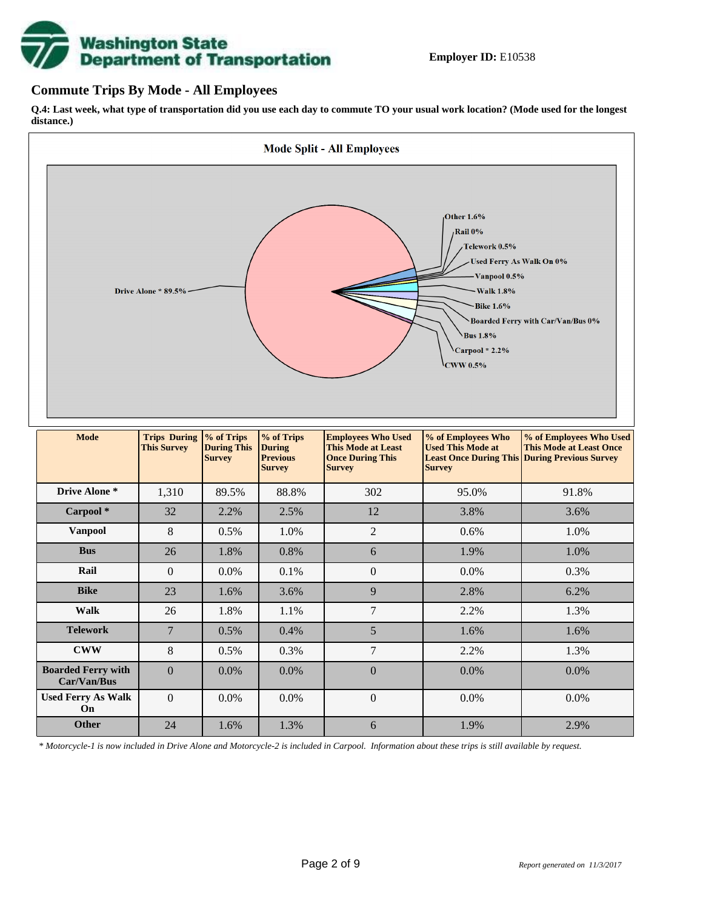

## **Commute Trips By Mode - All Employees**

**Q.4: Last week, what type of transportation did you use each day to commute TO your usual work location? (Mode used for the longest distance.)**



*\* Motorcycle-1 is now included in Drive Alone and Motorcycle-2 is included in Carpool. Information about these trips is still available by request.*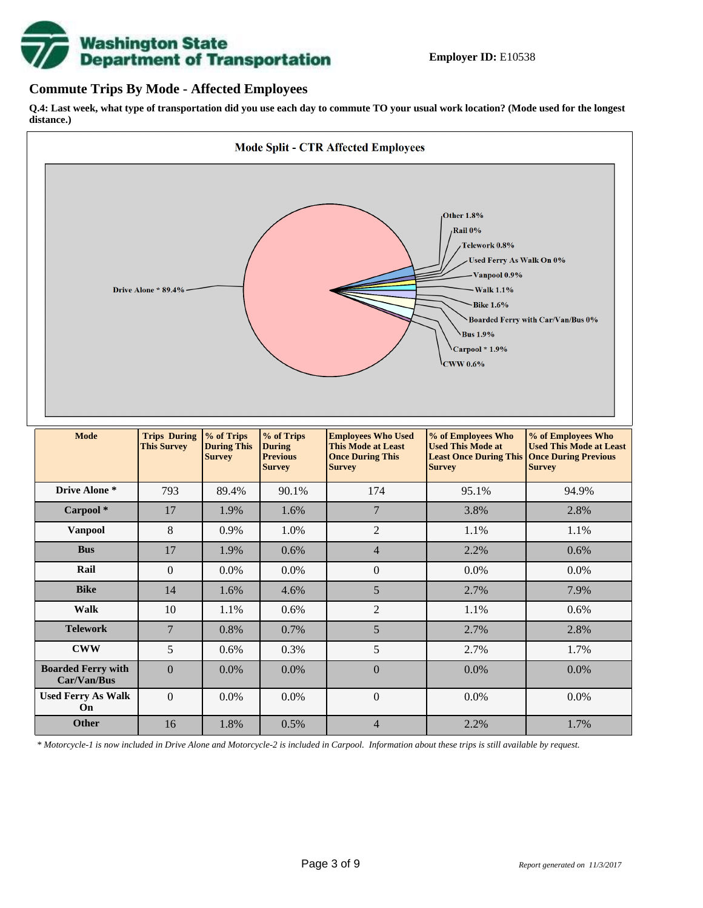

# **Commute Trips By Mode - Affected Employees**

**Q.4: Last week, what type of transportation did you use each day to commute TO your usual work location? (Mode used for the longest distance.)**



*\* Motorcycle-1 is now included in Drive Alone and Motorcycle-2 is included in Carpool. Information about these trips is still available by request.*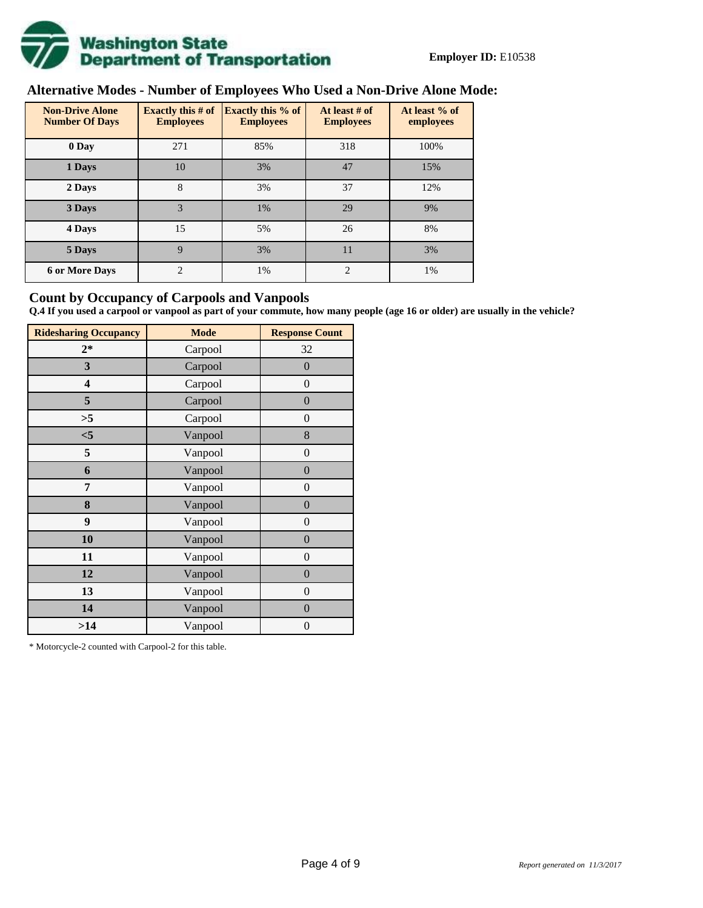

# **Alternative Modes - Number of Employees Who Used a Non-Drive Alone Mode:**

| <b>Non-Drive Alone</b><br><b>Number Of Days</b> | <b>Exactly this # of</b><br><b>Employees</b> | <b>Exactly this % of</b><br><b>Employees</b> | At least # of<br><b>Employees</b> | At least % of<br>employees |
|-------------------------------------------------|----------------------------------------------|----------------------------------------------|-----------------------------------|----------------------------|
| 0 Day                                           | 271                                          | 85%                                          | 318                               | 100%                       |
| 1 Days                                          | 10                                           | 3%                                           | 47                                | 15%                        |
| 2 Days                                          | 8                                            | 3%                                           | 37                                | 12%                        |
| 3 Days                                          | 3                                            | 1%                                           | 29                                | 9%                         |
| 4 Days                                          | 15                                           | 5%                                           | 26                                | 8%                         |
| 5 Days                                          | $\mathbf Q$                                  | 3%                                           | 11                                | 3%                         |
| <b>6 or More Days</b>                           | $\overline{c}$                               | 1%                                           | $\overline{c}$                    | 1%                         |

# **Count by Occupancy of Carpools and Vanpools**

**Q.4 If you used a carpool or vanpool as part of your commute, how many people (age 16 or older) are usually in the vehicle?**

| <b>Ridesharing Occupancy</b> | <b>Mode</b> | <b>Response Count</b> |
|------------------------------|-------------|-----------------------|
| $2*$                         | Carpool     | 32                    |
| 3                            | Carpool     | $\boldsymbol{0}$      |
| 4                            | Carpool     | $\boldsymbol{0}$      |
| 5                            | Carpool     | $\boldsymbol{0}$      |
| >5                           | Carpool     | $\overline{0}$        |
| $<$ 5                        | Vanpool     | 8                     |
| 5                            | Vanpool     | $\boldsymbol{0}$      |
| 6                            | Vanpool     | $\boldsymbol{0}$      |
| 7                            | Vanpool     | $\boldsymbol{0}$      |
| 8                            | Vanpool     | $\boldsymbol{0}$      |
| 9                            | Vanpool     | $\boldsymbol{0}$      |
| 10                           | Vanpool     | $\overline{0}$        |
| 11                           | Vanpool     | $\overline{0}$        |
| 12                           | Vanpool     | $\boldsymbol{0}$      |
| 13                           | Vanpool     | $\boldsymbol{0}$      |
| 14                           | Vanpool     | $\overline{0}$        |
| >14                          | Vanpool     | $\boldsymbol{0}$      |

\* Motorcycle-2 counted with Carpool-2 for this table.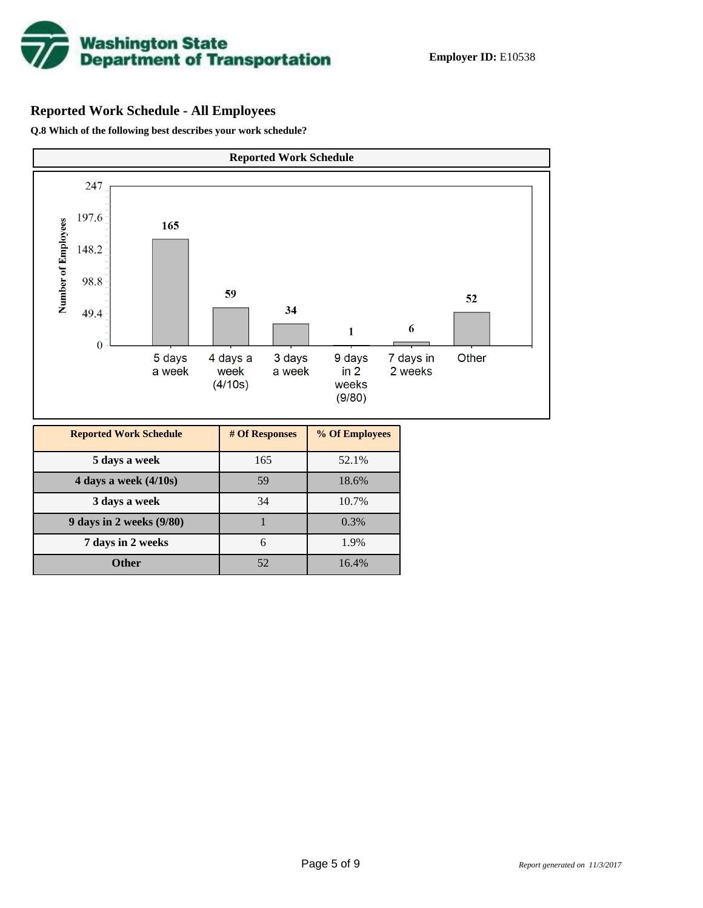

# **Reported Work Schedule - All Employees**

**Q.8 Which of the following best describes your work schedule?**

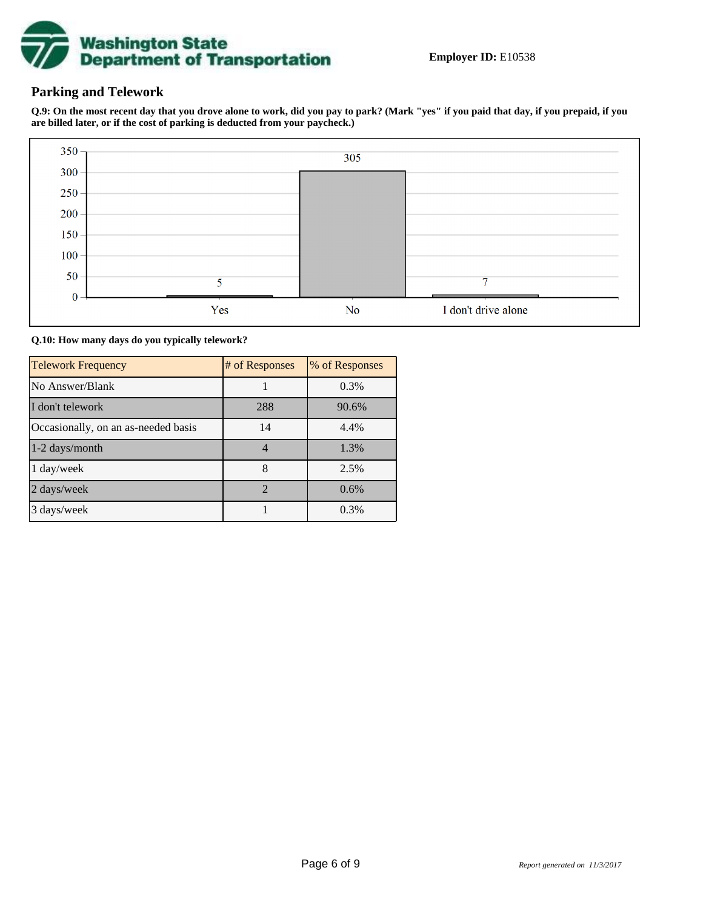

# **Parking and Telework**

**Q.9: On the most recent day that you drove alone to work, did you pay to park? (Mark "yes" if you paid that day, if you prepaid, if you are billed later, or if the cost of parking is deducted from your paycheck.)**



**Q.10: How many days do you typically telework?**

| <b>Telework Frequency</b>           | # of Responses | % of Responses |
|-------------------------------------|----------------|----------------|
| No Answer/Blank                     |                | 0.3%           |
| I don't telework                    | 288            | 90.6%          |
| Occasionally, on an as-needed basis | 14             | 4.4%           |
| 1-2 days/month                      | 4              | 1.3%           |
| 1 day/week                          | 8              | 2.5%           |
| 2 days/week                         | $\mathcal{D}$  | 0.6%           |
| 3 days/week                         |                | 0.3%           |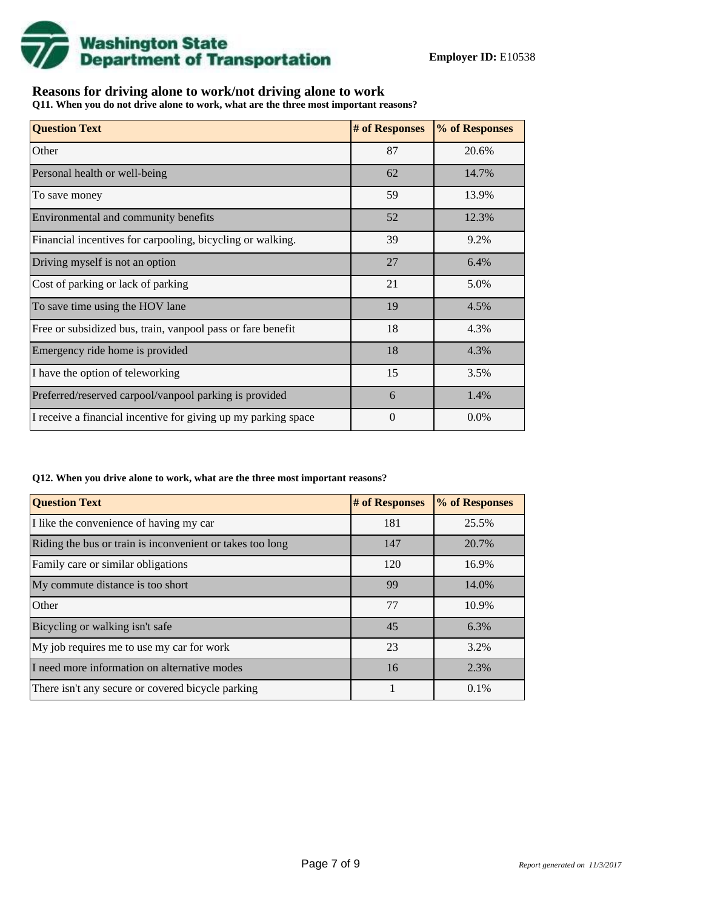

# **Reasons for driving alone to work/not driving alone to work**

**Q11. When you do not drive alone to work, what are the three most important reasons?**

| <b>Question Text</b>                                           | # of Responses | % of Responses |
|----------------------------------------------------------------|----------------|----------------|
| Other                                                          | 87             | 20.6%          |
| Personal health or well-being                                  | 62             | 14.7%          |
| To save money                                                  | 59             | 13.9%          |
| Environmental and community benefits                           | 52             | 12.3%          |
| Financial incentives for carpooling, bicycling or walking.     | 39             | 9.2%           |
| Driving myself is not an option                                | 27             | 6.4%           |
| Cost of parking or lack of parking                             | 21             | 5.0%           |
| To save time using the HOV lane                                | 19             | 4.5%           |
| Free or subsidized bus, train, vanpool pass or fare benefit    | 18             | 4.3%           |
| Emergency ride home is provided                                | 18             | 4.3%           |
| I have the option of teleworking                               | 15             | 3.5%           |
| Preferred/reserved carpool/vanpool parking is provided         | 6              | 1.4%           |
| I receive a financial incentive for giving up my parking space | $\theta$       | $0.0\%$        |

### **Q12. When you drive alone to work, what are the three most important reasons?**

| <b>Question Text</b>                                      | # of Responses | % of Responses |
|-----------------------------------------------------------|----------------|----------------|
| I like the convenience of having my car                   | 181            | 25.5%          |
| Riding the bus or train is inconvenient or takes too long | 147            | 20.7%          |
| Family care or similar obligations                        | 120            | 16.9%          |
| My commute distance is too short                          | 99             | 14.0%          |
| Other                                                     | 77             | 10.9%          |
| Bicycling or walking isn't safe                           | 45             | 6.3%           |
| My job requires me to use my car for work                 | 23             | 3.2%           |
| I need more information on alternative modes              | 16             | 2.3%           |
| There isn't any secure or covered bicycle parking         |                | $0.1\%$        |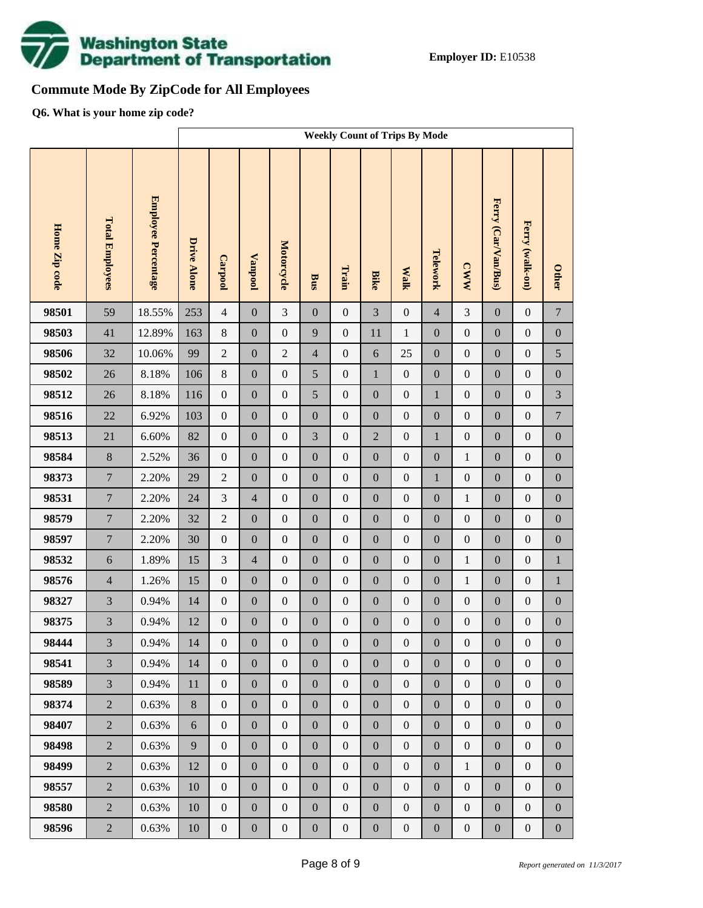

# **Commute Mode By ZipCode for All Employees**

**Q6. What is your home zip code?**

|               |                        |                     | <b>Weekly Count of Trips By Mode</b> |                  |                  |                  |                  |                  |                  |                  |                  |                  |                     |                  |                  |
|---------------|------------------------|---------------------|--------------------------------------|------------------|------------------|------------------|------------------|------------------|------------------|------------------|------------------|------------------|---------------------|------------------|------------------|
| Home Zip code | <b>Total Employees</b> | Employee Percentage | Drive Alone                          | Carpool          | <b>Vanpool</b>   | Motorcycle       | Bus              | Train            | <b>Bike</b>      | <b>Walk</b>      | Telework         | <b>CWW</b>       | Ferry (Car/Van/Bus) | Ferry (walk-on)  | <b>Other</b>     |
| 98501         | 59                     | 18.55%              | 253                                  | $\overline{4}$   | $\boldsymbol{0}$ | 3                | $\overline{0}$   | $\mathbf{0}$     | $\overline{3}$   | $\boldsymbol{0}$ | $\overline{4}$   | 3                | $\boldsymbol{0}$    | $\boldsymbol{0}$ | $\boldsymbol{7}$ |
| 98503         | 41                     | 12.89%              | 163                                  | $8\,$            | $\boldsymbol{0}$ | $\mathbf{0}$     | 9                | $\boldsymbol{0}$ | 11               | $\mathbf{1}$     | $\mathbf{0}$     | $\boldsymbol{0}$ | $\boldsymbol{0}$    | $\boldsymbol{0}$ | $\boldsymbol{0}$ |
| 98506         | 32                     | 10.06%              | 99                                   | $\sqrt{2}$       | $\boldsymbol{0}$ | $\overline{2}$   | $\overline{4}$   | $\boldsymbol{0}$ | 6                | 25               | $\boldsymbol{0}$ | $\boldsymbol{0}$ | $\boldsymbol{0}$    | $\boldsymbol{0}$ | 5                |
| 98502         | 26                     | 8.18%               | 106                                  | $8\,$            | $\boldsymbol{0}$ | $\boldsymbol{0}$ | 5                | $\boldsymbol{0}$ | $\mathbf{1}$     | $\boldsymbol{0}$ | $\mathbf{0}$     | $\boldsymbol{0}$ | $\boldsymbol{0}$    | $\boldsymbol{0}$ | $\boldsymbol{0}$ |
| 98512         | 26                     | 8.18%               | 116                                  | $\boldsymbol{0}$ | $\boldsymbol{0}$ | $\boldsymbol{0}$ | 5                | $\boldsymbol{0}$ | $\boldsymbol{0}$ | $\boldsymbol{0}$ | $\mathbf{1}$     | $\boldsymbol{0}$ | $\boldsymbol{0}$    | $\boldsymbol{0}$ | $\mathfrak{Z}$   |
| 98516         | 22                     | 6.92%               | 103                                  | $\boldsymbol{0}$ | $\boldsymbol{0}$ | $\boldsymbol{0}$ | $\boldsymbol{0}$ | $\mathbf{0}$     | $\overline{0}$   | $\boldsymbol{0}$ | $\boldsymbol{0}$ | $\boldsymbol{0}$ | $\boldsymbol{0}$    | $\boldsymbol{0}$ | $\boldsymbol{7}$ |
| 98513         | 21                     | 6.60%               | 82                                   | $\boldsymbol{0}$ | $\boldsymbol{0}$ | $\boldsymbol{0}$ | 3                | $\boldsymbol{0}$ | $\overline{2}$   | $\boldsymbol{0}$ | $\mathbf{1}$     | $\boldsymbol{0}$ | $\boldsymbol{0}$    | $\boldsymbol{0}$ | $\boldsymbol{0}$ |
| 98584         | $8\,$                  | 2.52%               | 36                                   | $\mathbf{0}$     | $\boldsymbol{0}$ | $\boldsymbol{0}$ | $\overline{0}$   | $\overline{0}$   | $\overline{0}$   | $\boldsymbol{0}$ | $\mathbf{0}$     | $\mathbf{1}$     | $\boldsymbol{0}$    | $\boldsymbol{0}$ | $\boldsymbol{0}$ |
| 98373         | $\overline{7}$         | 2.20%               | 29                                   | $\sqrt{2}$       | $\boldsymbol{0}$ | $\boldsymbol{0}$ | $\boldsymbol{0}$ | $\boldsymbol{0}$ | $\boldsymbol{0}$ | $\boldsymbol{0}$ | $\mathbf{1}$     | $\boldsymbol{0}$ | $\boldsymbol{0}$    | $\boldsymbol{0}$ | $\boldsymbol{0}$ |
| 98531         | $\overline{7}$         | 2.20%               | 24                                   | 3                | $\overline{4}$   | $\boldsymbol{0}$ | $\boldsymbol{0}$ | $\boldsymbol{0}$ | $\mathbf{0}$     | $\boldsymbol{0}$ | $\boldsymbol{0}$ | $\mathbf{1}$     | $\boldsymbol{0}$    | $\boldsymbol{0}$ | $\boldsymbol{0}$ |
| 98579         | $\overline{7}$         | 2.20%               | 32                                   | $\boldsymbol{2}$ | $\boldsymbol{0}$ | $\boldsymbol{0}$ | $\boldsymbol{0}$ | $\boldsymbol{0}$ | $\boldsymbol{0}$ | $\boldsymbol{0}$ | $\boldsymbol{0}$ | $\boldsymbol{0}$ | $\boldsymbol{0}$    | $\boldsymbol{0}$ | $\boldsymbol{0}$ |
| 98597         | $\overline{7}$         | 2.20%               | 30                                   | $\mathbf{0}$     | $\boldsymbol{0}$ | $\boldsymbol{0}$ | $\boldsymbol{0}$ | $\boldsymbol{0}$ | $\mathbf{0}$     | $\boldsymbol{0}$ | $\mathbf{0}$     | $\boldsymbol{0}$ | $\boldsymbol{0}$    | $\boldsymbol{0}$ | $\boldsymbol{0}$ |
| 98532         | $\sqrt{6}$             | 1.89%               | 15                                   | 3                | $\overline{4}$   | $\boldsymbol{0}$ | $\boldsymbol{0}$ | $\boldsymbol{0}$ | $\boldsymbol{0}$ | $\boldsymbol{0}$ | $\boldsymbol{0}$ | $\mathbf{1}$     | $\boldsymbol{0}$    | $\boldsymbol{0}$ | $\,1\,$          |
| 98576         | $\overline{4}$         | 1.26%               | 15                                   | $\boldsymbol{0}$ | $\boldsymbol{0}$ | $\boldsymbol{0}$ | $\boldsymbol{0}$ | $\mathbf{0}$     | $\overline{0}$   | $\boldsymbol{0}$ | $\mathbf{0}$     | $\mathbf{1}$     | $\boldsymbol{0}$    | $\boldsymbol{0}$ | $\,1\,$          |
| 98327         | 3                      | 0.94%               | 14                                   | $\boldsymbol{0}$ | $\boldsymbol{0}$ | $\boldsymbol{0}$ | $\boldsymbol{0}$ | $\boldsymbol{0}$ | $\boldsymbol{0}$ | $\boldsymbol{0}$ | $\boldsymbol{0}$ | $\boldsymbol{0}$ | $\boldsymbol{0}$    | $\boldsymbol{0}$ | $\boldsymbol{0}$ |
| 98375         | 3                      | 0.94%               | 12                                   | $\boldsymbol{0}$ | $\boldsymbol{0}$ | $\boldsymbol{0}$ | $\boldsymbol{0}$ | $\boldsymbol{0}$ | $\boldsymbol{0}$ | $\boldsymbol{0}$ | $\boldsymbol{0}$ | $\boldsymbol{0}$ | $\boldsymbol{0}$    | $\boldsymbol{0}$ | $\boldsymbol{0}$ |
| 98444         | $\overline{3}$         | 0.94%               | 14                                   | $\overline{0}$   | $\mathbf{0}$     | $\boldsymbol{0}$ | $\boldsymbol{0}$ | $\boldsymbol{0}$ | $\boldsymbol{0}$ | $\mathbf{0}$     | $\boldsymbol{0}$ | $\boldsymbol{0}$ | $\boldsymbol{0}$    | $\boldsymbol{0}$ | $\overline{0}$   |
| 98541         | $\overline{3}$         | 0.94%               | 14                                   | $\overline{0}$   | $\mathbf{0}$     | $\overline{0}$   | $\boldsymbol{0}$ | $\boldsymbol{0}$ | $\mathbf{0}$     | $\overline{0}$   | $\mathbf{0}$     | $\boldsymbol{0}$ | $\boldsymbol{0}$    | $\boldsymbol{0}$ | $\boldsymbol{0}$ |
| 98589         | $\overline{3}$         | 0.94%               | $11\,$                               | $\mathbf{0}$     | $\boldsymbol{0}$ | $\boldsymbol{0}$ | $\boldsymbol{0}$ | $\boldsymbol{0}$ | $\mathbf{0}$     | $\boldsymbol{0}$ | $\boldsymbol{0}$ | $\boldsymbol{0}$ | $\boldsymbol{0}$    | $\boldsymbol{0}$ | $\boldsymbol{0}$ |
| 98374         | $\overline{2}$         | 0.63%               | 8                                    | $\mathbf{0}$     | $\boldsymbol{0}$ | $\boldsymbol{0}$ | $\boldsymbol{0}$ | $\boldsymbol{0}$ | $\boldsymbol{0}$ | $\boldsymbol{0}$ | $\mathbf{0}$     | $\boldsymbol{0}$ | $\boldsymbol{0}$    | $\boldsymbol{0}$ | $\boldsymbol{0}$ |
| 98407         | $\overline{2}$         | 0.63%               | 6                                    | $\mathbf{0}$     | $\boldsymbol{0}$ | $\boldsymbol{0}$ | $\boldsymbol{0}$ | $\boldsymbol{0}$ | $\mathbf{0}$     | $\boldsymbol{0}$ | $\boldsymbol{0}$ | $\boldsymbol{0}$ | $\boldsymbol{0}$    | $\boldsymbol{0}$ | $\boldsymbol{0}$ |
| 98498         | $\overline{2}$         | 0.63%               | 9                                    | $\mathbf{0}$     | $\boldsymbol{0}$ | $\boldsymbol{0}$ | $\boldsymbol{0}$ | $\boldsymbol{0}$ | $\boldsymbol{0}$ | $\boldsymbol{0}$ | $\mathbf{0}$     | $\boldsymbol{0}$ | $\boldsymbol{0}$    | $\boldsymbol{0}$ | $\boldsymbol{0}$ |
| 98499         | $\overline{2}$         | 0.63%               | 12                                   | $\mathbf{0}$     | $\boldsymbol{0}$ | $\boldsymbol{0}$ | $\boldsymbol{0}$ | $\boldsymbol{0}$ | $\mathbf{0}$     | $\boldsymbol{0}$ | $\boldsymbol{0}$ | $\mathbf{1}$     | $\boldsymbol{0}$    | $\boldsymbol{0}$ | $\boldsymbol{0}$ |
| 98557         | $\overline{2}$         | 0.63%               | 10                                   | $\boldsymbol{0}$ | $\boldsymbol{0}$ | $\boldsymbol{0}$ | $\boldsymbol{0}$ | $\boldsymbol{0}$ | $\boldsymbol{0}$ | $\boldsymbol{0}$ | $\mathbf{0}$     | $\boldsymbol{0}$ | $\boldsymbol{0}$    | $\boldsymbol{0}$ | $\boldsymbol{0}$ |
| 98580         | $\overline{2}$         | 0.63%               | 10                                   | $\mathbf{0}$     | $\boldsymbol{0}$ | $\boldsymbol{0}$ | $\boldsymbol{0}$ | $\boldsymbol{0}$ | $\mathbf{0}$     | $\boldsymbol{0}$ | $\boldsymbol{0}$ | $\boldsymbol{0}$ | $\boldsymbol{0}$    | $\boldsymbol{0}$ | $\boldsymbol{0}$ |
| 98596         | $\overline{2}$         | 0.63%               | $10\,$                               | $\boldsymbol{0}$ | $\boldsymbol{0}$ | $\boldsymbol{0}$ | $\boldsymbol{0}$ | $\boldsymbol{0}$ | $\boldsymbol{0}$ | $\boldsymbol{0}$ | $\boldsymbol{0}$ | $\boldsymbol{0}$ | $\boldsymbol{0}$    | $\boldsymbol{0}$ | $\boldsymbol{0}$ |